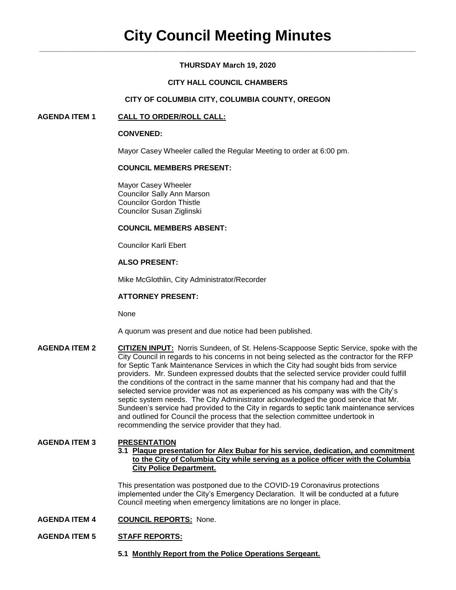## **THURSDAY March 19, 2020**

## **CITY HALL COUNCIL CHAMBERS**

## **CITY OF COLUMBIA CITY, COLUMBIA COUNTY, OREGON**

## **AGENDA ITEM 1 CALL TO ORDER/ROLL CALL:**

## **CONVENED:**

Mayor Casey Wheeler called the Regular Meeting to order at 6:00 pm.

## **COUNCIL MEMBERS PRESENT:**

Mayor Casey Wheeler Councilor Sally Ann Marson Councilor Gordon Thistle Councilor Susan Ziglinski

## **COUNCIL MEMBERS ABSENT:**

Councilor Karli Ebert

# **ALSO PRESENT:**

Mike McGlothlin, City Administrator/Recorder

## **ATTORNEY PRESENT:**

None

A quorum was present and due notice had been published.

**AGENDA ITEM 2 CITIZEN INPUT:** Norris Sundeen, of St. Helens-Scappoose Septic Service, spoke with the City Council in regards to his concerns in not being selected as the contractor for the RFP for Septic Tank Maintenance Services in which the City had sought bids from service providers. Mr. Sundeen expressed doubts that the selected service provider could fulfill the conditions of the contract in the same manner that his company had and that the selected service provider was not as experienced as his company was with the City's septic system needs. The City Administrator acknowledged the good service that Mr. Sundeen's service had provided to the City in regards to septic tank maintenance services and outlined for Council the process that the selection committee undertook in recommending the service provider that they had.

## **AGENDA ITEM 3 PRESENTATION**

**3.1 Plaque presentation for Alex Bubar for his service, dedication, and commitment to the City of Columbia City while serving as a police officer with the Columbia City Police Department.**

This presentation was postponed due to the COVID-19 Coronavirus protections implemented under the City's Emergency Declaration. It will be conducted at a future Council meeting when emergency limitations are no longer in place.

# **AGENDA ITEM 4 COUNCIL REPORTS:** None.

# **AGENDA ITEM 5 STAFF REPORTS:**

**5.1 Monthly Report from the Police Operations Sergeant.**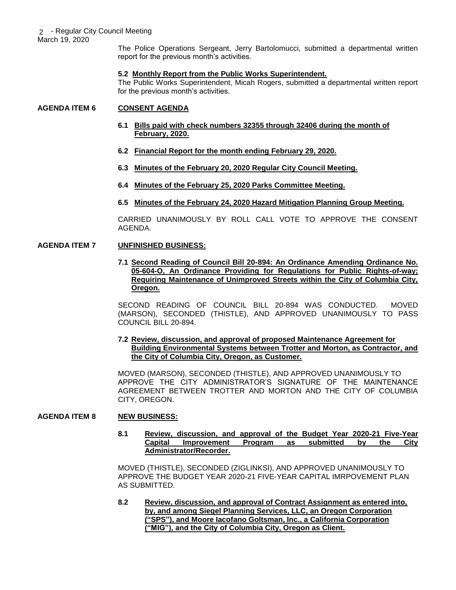The Police Operations Sergeant, Jerry Bartolomucci, submitted a departmental written report for the previous month's activities.

#### **5.2 Monthly Report from the Public Works Superintendent.**

The Public Works Superintendent, Micah Rogers, submitted a departmental written report for the previous month's activities.

### **AGENDA ITEM 6 CONSENT AGENDA**

- **6.1 Bills paid with check numbers 32355 through 32406 during the month of February, 2020.**
- **6.2 Financial Report for the month ending February 29, 2020.**
- **6.3 Minutes of the February 20, 2020 Regular City Council Meeting.**
- **6.4 Minutes of the February 25, 2020 Parks Committee Meeting.**
- **6.5 Minutes of the February 24, 2020 Hazard Mitigation Planning Group Meeting.**

CARRIED UNANIMOUSLY BY ROLL CALL VOTE TO APPROVE THE CONSENT AGENDA.

### **AGENDA ITEM 7 UNFINISHED BUSINESS:**

**7.1 Second Reading of Council Bill 20-894: An Ordinance Amending Ordinance No. 05-604-O, An Ordinance Providing for Regulations for Public Rights-of-way; Requiring Maintenance of Unimproved Streets within the City of Columbia City, Oregon.** 

SECOND READING OF COUNCIL BILL 20-894 WAS CONDUCTED. MOVED (MARSON), SECONDED (THISTLE), AND APPROVED UNANIMOUSLY TO PASS COUNCIL BILL 20-894.

### **7.2 Review, discussion, and approval of proposed Maintenance Agreement for Building Environmental Systems between Trotter and Morton, as Contractor, and the City of Columbia City, Oregon, as Customer.**

MOVED (MARSON), SECONDED (THISTLE), AND APPROVED UNANIMOUSLY TO APPROVE THE CITY ADMINISTRATOR'S SIGNATURE OF THE MAINTENANCE AGREEMENT BETWEEN TROTTER AND MORTON AND THE CITY OF COLUMBIA CITY, OREGON.

### **AGENDA ITEM 8 NEW BUSINESS:**

**8.1 Review, discussion, and approval of the Budget Year 2020-21 Five-Year Capital Improvement Program as submitted by the City Administrator/Recorder.** 

MOVED (THISTLE), SECONDED (ZIGLINKSI), AND APPROVED UNANIMOUSLY TO APPROVE THE BUDGET YEAR 2020-21 FIVE-YEAR CAPITAL IMRPOVEMENT PLAN AS SUBMITTED.

**8.2 Review, discussion, and approval of Contract Assignment as entered into, by, and among Siegel Planning Services, LLC, an Oregon Corporation ("SPS"), and Moore Iacofano Goltsman, Inc., a California Corporation ("MIG"), and the City of Columbia City, Oregon as Client.**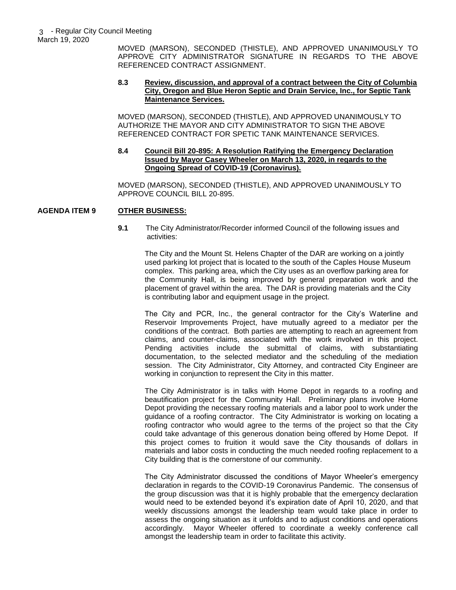MOVED (MARSON), SECONDED (THISTLE), AND APPROVED UNANIMOUSLY TO APPROVE CITY ADMINISTRATOR SIGNATURE IN REGARDS TO THE ABOVE REFERENCED CONTRACT ASSIGNMENT.

#### **8.3 Review, discussion, and approval of a contract between the City of Columbia City, Oregon and Blue Heron Septic and Drain Service, Inc., for Septic Tank Maintenance Services.**

MOVED (MARSON), SECONDED (THISTLE), AND APPROVED UNANIMOUSLY TO AUTHORIZE THE MAYOR AND CITY ADMINISTRATOR TO SIGN THE ABOVE REFERENCED CONTRACT FOR SPETIC TANK MAINTENANCE SERVICES.

### **8.4 Council Bill 20-895: A Resolution Ratifying the Emergency Declaration Issued by Mayor Casey Wheeler on March 13, 2020, in regards to the Ongoing Spread of COVID-19 (Coronavirus).**

MOVED (MARSON), SECONDED (THISTLE), AND APPROVED UNANIMOUSLY TO APPROVE COUNCIL BILL 20-895.

## **AGENDA ITEM 9 OTHER BUSINESS:**

**9.1** The City Administrator/Recorder informed Council of the following issues and activities:

The City and the Mount St. Helens Chapter of the DAR are working on a jointly used parking lot project that is located to the south of the Caples House Museum complex. This parking area, which the City uses as an overflow parking area for the Community Hall, is being improved by general preparation work and the placement of gravel within the area. The DAR is providing materials and the City is contributing labor and equipment usage in the project.

The City and PCR, Inc., the general contractor for the City's Waterline and Reservoir Improvements Project, have mutually agreed to a mediator per the conditions of the contract. Both parties are attempting to reach an agreement from claims, and counter-claims, associated with the work involved in this project. Pending activities include the submittal of claims, with substantiating documentation, to the selected mediator and the scheduling of the mediation session. The City Administrator, City Attorney, and contracted City Engineer are working in conjunction to represent the City in this matter.

The City Administrator is in talks with Home Depot in regards to a roofing and beautification project for the Community Hall. Preliminary plans involve Home Depot providing the necessary roofing materials and a labor pool to work under the guidance of a roofing contractor. The City Administrator is working on locating a roofing contractor who would agree to the terms of the project so that the City could take advantage of this generous donation being offered by Home Depot. If this project comes to fruition it would save the City thousands of dollars in materials and labor costs in conducting the much needed roofing replacement to a City building that is the cornerstone of our community.

The City Administrator discussed the conditions of Mayor Wheeler's emergency declaration in regards to the COVID-19 Coronavirus Pandemic. The consensus of the group discussion was that it is highly probable that the emergency declaration would need to be extended beyond it's expiration date of April 10, 2020, and that weekly discussions amongst the leadership team would take place in order to assess the ongoing situation as it unfolds and to adjust conditions and operations accordingly. Mayor Wheeler offered to coordinate a weekly conference call amongst the leadership team in order to facilitate this activity.